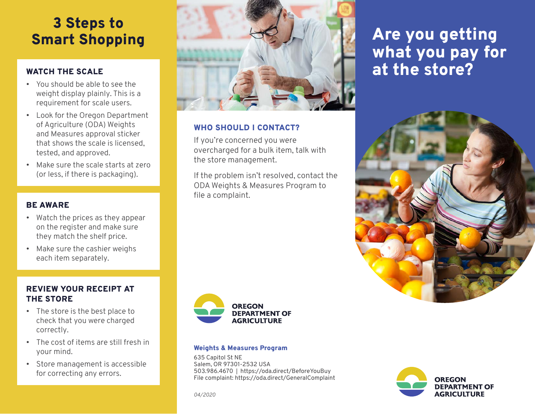# 3 Steps to Smart Shopping

# WATCH THE SCALE

- You should be able to see the weight display plainly. This is a requirement for scale users.
- Look for the Oregon Department of Agriculture (ODA) Weights and Measures approval sticker that shows the scale is licensed, tested, and approved.
- Make sure the scale starts at zero (or less, if there is packaging).

### BE AWARE

- Watch the prices as they appear on the register and make sure they match the shelf price.
- Make sure the cashier weighs each item separately.

## REVIEW YOUR RECEIPT AT THE STORE

- The store is the best place to check that you were charged correctly.
- The cost of items are still fresh in your mind.
- Store management is accessible for correcting any errors.



### WHO SHOULD I CONTACT?

If you're concerned you were overcharged for a bulk item, talk with the store management.

If the problem isn't resolved, contact the ODA Weights & Measures Program to file a complaint.



#### Weights & Measures Program

635 Capitol St NE Salem, OR 97301-2532 USA 503.986.4670 | https://oda.direct/BeforeYouBuy File complaint: https://oda.direct/GeneralComplaint

# Are you getting what you pay for at the store?